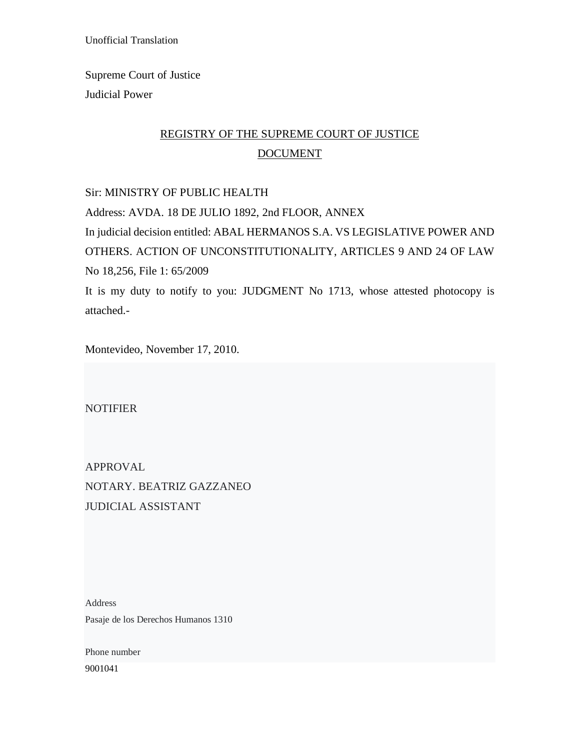Unofficial Translation

Supreme Court of Justice Judicial Power

# REGISTRY OF THE SUPREME COURT OF JUSTICE DOCUMENT

Sir: MINISTRY OF PUBLIC HEALTH

Address: AVDA. 18 DE JULIO 1892, 2nd FLOOR, ANNEX In judicial decision entitled: ABAL HERMANOS S.A. VS LEGISLATIVE POWER AND OTHERS. ACTION OF UNCONSTITUTIONALITY, ARTICLES 9 AND 24 OF LAW No 18,256, File 1: 65/2009 It is my duty to notify to you: JUDGMENT No 1713, whose attested photocopy is attached.-

Montevideo, November 17, 2010.

**NOTIFIER** 

APPROVAL NOTARY. BEATRIZ GAZZANEO JUDICIAL ASSISTANT

Address Pasaje de los Derechos Humanos 1310

Phone number 9001041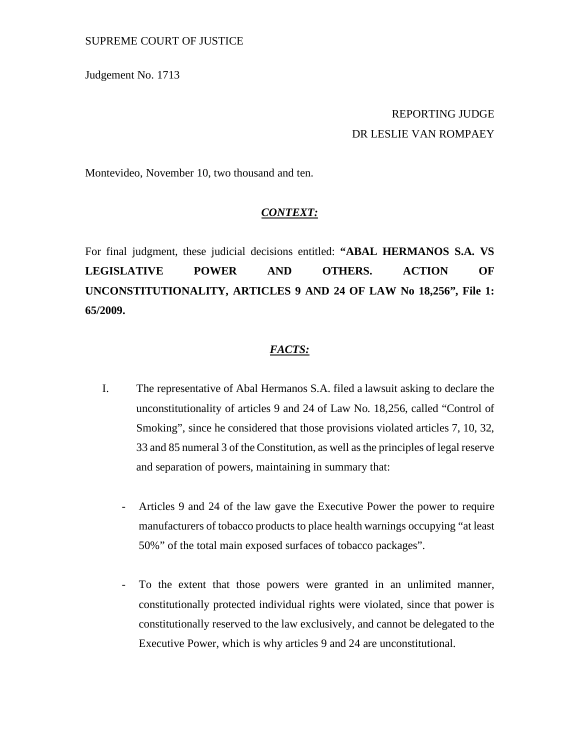#### SUPREME COURT OF JUSTICE

Judgement No. 1713

## REPORTING JUDGE DR LESLIE VAN ROMPAEY

Montevideo, November 10, two thousand and ten.

#### *CONTEXT:*

For final judgment, these judicial decisions entitled: **"ABAL HERMANOS S.A. VS LEGISLATIVE POWER AND OTHERS. ACTION OF UNCONSTITUTIONALITY, ARTICLES 9 AND 24 OF LAW No 18,256", File 1: 65/2009.**

#### *FACTS:*

- I. The representative of Abal Hermanos S.A. filed a lawsuit asking to declare the unconstitutionality of articles 9 and 24 of Law No. 18,256, called "Control of Smoking", since he considered that those provisions violated articles 7, 10, 32, 33 and 85 numeral 3 of the Constitution, as well as the principles of legal reserve and separation of powers, maintaining in summary that:
	- Articles 9 and 24 of the law gave the Executive Power the power to require manufacturers of tobacco products to place health warnings occupying "at least 50%" of the total main exposed surfaces of tobacco packages".
	- To the extent that those powers were granted in an unlimited manner, constitutionally protected individual rights were violated, since that power is constitutionally reserved to the law exclusively, and cannot be delegated to the Executive Power, which is why articles 9 and 24 are unconstitutional.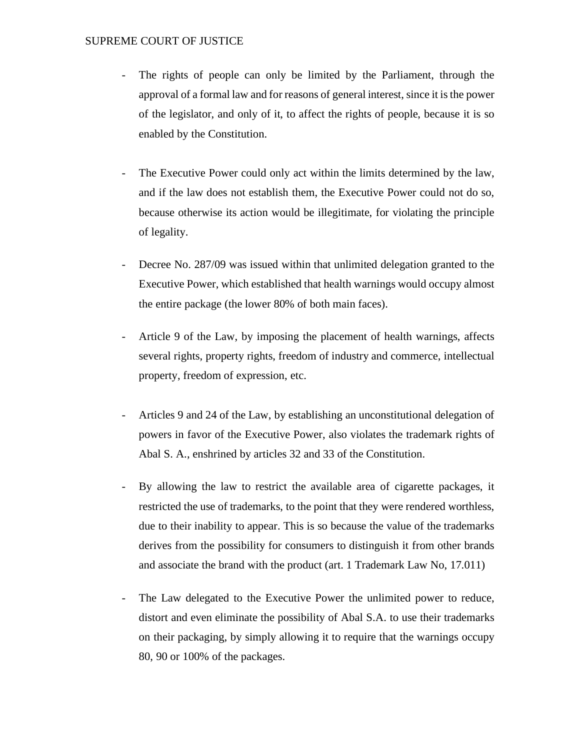#### SUPREME COURT OF JUSTICE

- The rights of people can only be limited by the Parliament, through the approval of a formal law and for reasons of general interest, since it is the power of the legislator, and only of it, to affect the rights of people, because it is so enabled by the Constitution.
- The Executive Power could only act within the limits determined by the law, and if the law does not establish them, the Executive Power could not do so, because otherwise its action would be illegitimate, for violating the principle of legality.
- Decree No. 287/09 was issued within that unlimited delegation granted to the Executive Power, which established that health warnings would occupy almost the entire package (the lower 80% of both main faces).
- Article 9 of the Law, by imposing the placement of health warnings, affects several rights, property rights, freedom of industry and commerce, intellectual property, freedom of expression, etc.
- Articles 9 and 24 of the Law, by establishing an unconstitutional delegation of powers in favor of the Executive Power, also violates the trademark rights of Abal S. A., enshrined by articles 32 and 33 of the Constitution.
- By allowing the law to restrict the available area of cigarette packages, it restricted the use of trademarks, to the point that they were rendered worthless, due to their inability to appear. This is so because the value of the trademarks derives from the possibility for consumers to distinguish it from other brands and associate the brand with the product (art. 1 Trademark Law No, 17.011)
- The Law delegated to the Executive Power the unlimited power to reduce, distort and even eliminate the possibility of Abal S.A. to use their trademarks on their packaging, by simply allowing it to require that the warnings occupy 80, 90 or 100% of the packages.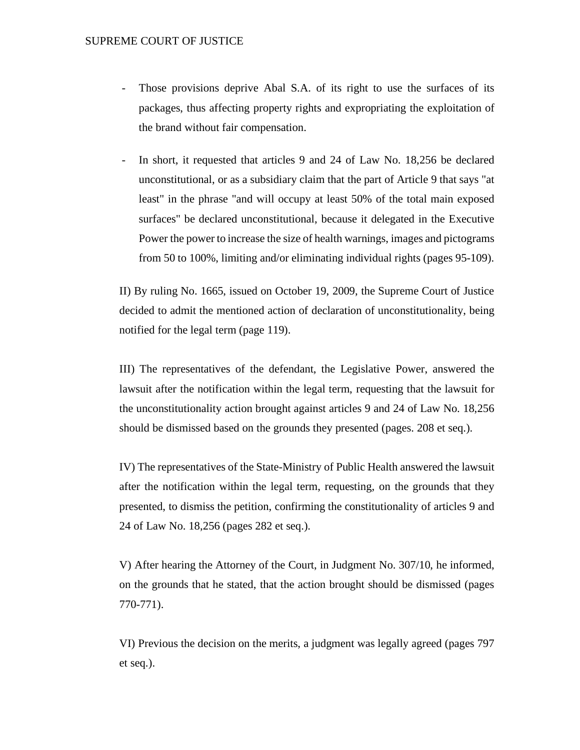- Those provisions deprive Abal S.A. of its right to use the surfaces of its packages, thus affecting property rights and expropriating the exploitation of the brand without fair compensation.
- In short, it requested that articles 9 and 24 of Law No. 18,256 be declared unconstitutional, or as a subsidiary claim that the part of Article 9 that says "at least" in the phrase "and will occupy at least 50% of the total main exposed surfaces" be declared unconstitutional, because it delegated in the Executive Power the power to increase the size of health warnings, images and pictograms from 50 to 100%, limiting and/or eliminating individual rights (pages 95-109).

II) By ruling No. 1665, issued on October 19, 2009, the Supreme Court of Justice decided to admit the mentioned action of declaration of unconstitutionality, being notified for the legal term (page 119).

III) The representatives of the defendant, the Legislative Power, answered the lawsuit after the notification within the legal term, requesting that the lawsuit for the unconstitutionality action brought against articles 9 and 24 of Law No. 18,256 should be dismissed based on the grounds they presented (pages. 208 et seq.).

IV) The representatives of the State-Ministry of Public Health answered the lawsuit after the notification within the legal term, requesting, on the grounds that they presented, to dismiss the petition, confirming the constitutionality of articles 9 and 24 of Law No. 18,256 (pages 282 et seq.).

V) After hearing the Attorney of the Court, in Judgment No. 307/10, he informed, on the grounds that he stated, that the action brought should be dismissed (pages 770-771).

VI) Previous the decision on the merits, a judgment was legally agreed (pages 797 et seq.).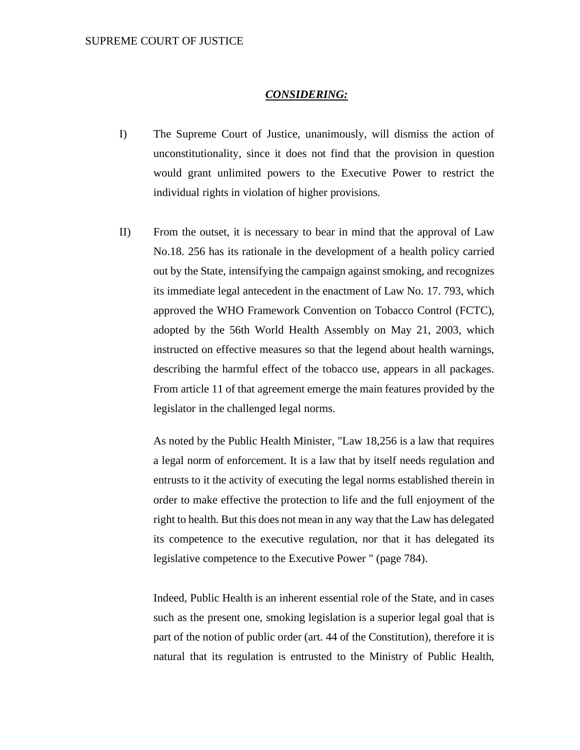#### *CONSIDERING:*

- I) The Supreme Court of Justice, unanimously, will dismiss the action of unconstitutionality, since it does not find that the provision in question would grant unlimited powers to the Executive Power to restrict the individual rights in violation of higher provisions.
- II) From the outset, it is necessary to bear in mind that the approval of Law No.18. 256 has its rationale in the development of a health policy carried out by the State, intensifying the campaign against smoking, and recognizes its immediate legal antecedent in the enactment of Law No. 17. 793, which approved the WHO Framework Convention on Tobacco Control (FCTC), adopted by the 56th World Health Assembly on May 21, 2003, which instructed on effective measures so that the legend about health warnings, describing the harmful effect of the tobacco use, appears in all packages. From article 11 of that agreement emerge the main features provided by the legislator in the challenged legal norms.

As noted by the Public Health Minister, "Law 18,256 is a law that requires a legal norm of enforcement. It is a law that by itself needs regulation and entrusts to it the activity of executing the legal norms established therein in order to make effective the protection to life and the full enjoyment of the right to health. But this does not mean in any way that the Law has delegated its competence to the executive regulation, nor that it has delegated its legislative competence to the Executive Power " (page 784).

Indeed, Public Health is an inherent essential role of the State, and in cases such as the present one, smoking legislation is a superior legal goal that is part of the notion of public order (art. 44 of the Constitution), therefore it is natural that its regulation is entrusted to the Ministry of Public Health,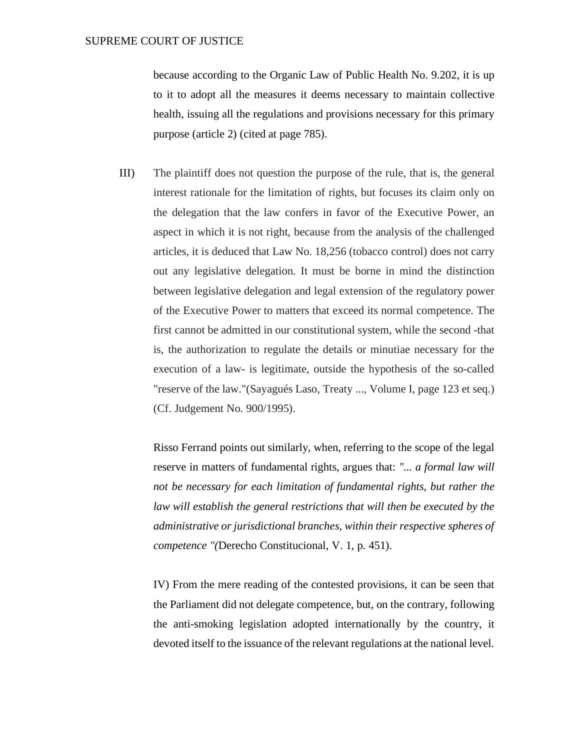because according to the Organic Law of Public Health No. 9.202, it is up to it to adopt all the measures it deems necessary to maintain collective health, issuing all the regulations and provisions necessary for this primary purpose (article 2) (cited at page 785).

III) The plaintiff does not question the purpose of the rule, that is, the general interest rationale for the limitation of rights, but focuses its claim only on the delegation that the law confers in favor of the Executive Power, an aspect in which it is not right, because from the analysis of the challenged articles, it is deduced that Law No. 18,256 (tobacco control) does not carry out any legislative delegation. It must be borne in mind the distinction between legislative delegation and legal extension of the regulatory power of the Executive Power to matters that exceed its normal competence. The first cannot be admitted in our constitutional system, while the second -that is, the authorization to regulate the details or minutiae necessary for the execution of a law- is legitimate, outside the hypothesis of the so-called "reserve of the law."(Sayagués Laso, Treaty ..., Volume I, page 123 et seq.) (Cf. Judgement No. 900/1995).

Risso Ferrand points out similarly, when, referring to the scope of the legal reserve in matters of fundamental rights, argues that: *"... a formal law will not be necessary for each limitation of fundamental rights, but rather the law will establish the general restrictions that will then be executed by the administrative or jurisdictional branches, within their respective spheres of competence "(*Derecho Constitucional, V. 1, p. 451).

IV) From the mere reading of the contested provisions, it can be seen that the Parliament did not delegate competence, but, on the contrary, following the anti-smoking legislation adopted internationally by the country, it devoted itself to the issuance of the relevant regulations at the national level.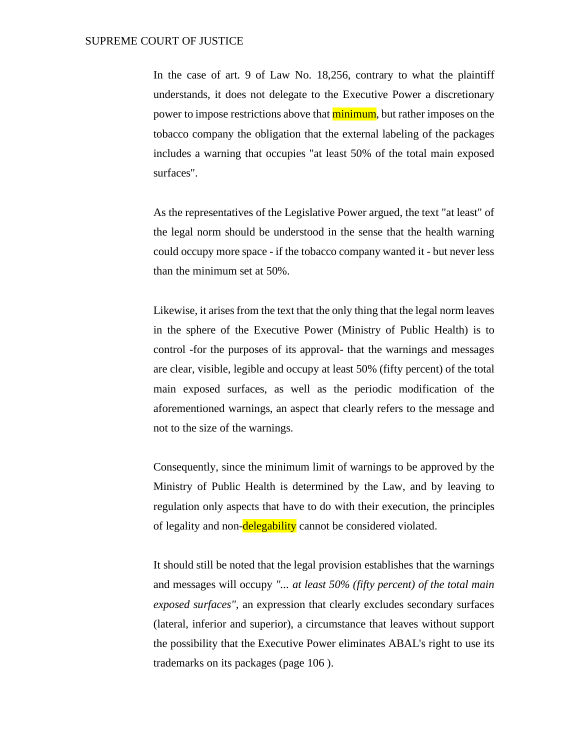In the case of art. 9 of Law No. 18,256, contrary to what the plaintiff understands, it does not delegate to the Executive Power a discretionary power to impose restrictions above that **minimum**, but rather imposes on the tobacco company the obligation that the external labeling of the packages includes a warning that occupies "at least 50% of the total main exposed surfaces".

As the representatives of the Legislative Power argued, the text "at least" of the legal norm should be understood in the sense that the health warning could occupy more space - if the tobacco company wanted it - but never less than the minimum set at 50%.

Likewise, it arises from the text that the only thing that the legal norm leaves in the sphere of the Executive Power (Ministry of Public Health) is to control -for the purposes of its approval- that the warnings and messages are clear, visible, legible and occupy at least 50% (fifty percent) of the total main exposed surfaces, as well as the periodic modification of the aforementioned warnings, an aspect that clearly refers to the message and not to the size of the warnings.

Consequently, since the minimum limit of warnings to be approved by the Ministry of Public Health is determined by the Law, and by leaving to regulation only aspects that have to do with their execution, the principles of legality and non-delegability cannot be considered violated.

It should still be noted that the legal provision establishes that the warnings and messages will occupy *"... at least 50% (fifty percent) of the total main exposed surfaces",* an expression that clearly excludes secondary surfaces (lateral, inferior and superior), a circumstance that leaves without support the possibility that the Executive Power eliminates ABAL's right to use its trademarks on its packages (page 106 ).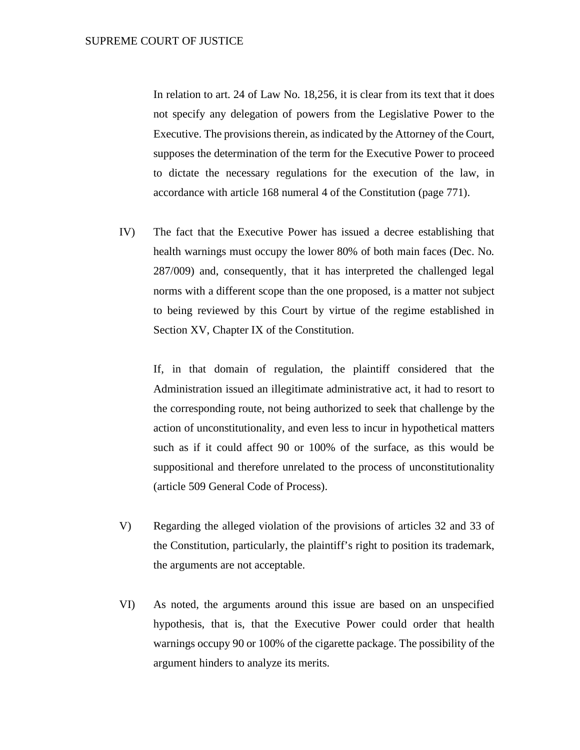In relation to art. 24 of Law No. 18,256, it is clear from its text that it does not specify any delegation of powers from the Legislative Power to the Executive. The provisions therein, as indicated by the Attorney of the Court, supposes the determination of the term for the Executive Power to proceed to dictate the necessary regulations for the execution of the law, in accordance with article 168 numeral 4 of the Constitution (page 771).

IV) The fact that the Executive Power has issued a decree establishing that health warnings must occupy the lower 80% of both main faces (Dec. No. 287/009) and, consequently, that it has interpreted the challenged legal norms with a different scope than the one proposed, is a matter not subject to being reviewed by this Court by virtue of the regime established in Section XV, Chapter IX of the Constitution.

If, in that domain of regulation, the plaintiff considered that the Administration issued an illegitimate administrative act, it had to resort to the corresponding route, not being authorized to seek that challenge by the action of unconstitutionality, and even less to incur in hypothetical matters such as if it could affect 90 or 100% of the surface, as this would be suppositional and therefore unrelated to the process of unconstitutionality (article 509 General Code of Process).

- V) Regarding the alleged violation of the provisions of articles 32 and 33 of the Constitution, particularly, the plaintiff's right to position its trademark, the arguments are not acceptable.
- VI) As noted, the arguments around this issue are based on an unspecified hypothesis, that is, that the Executive Power could order that health warnings occupy 90 or 100% of the cigarette package. The possibility of the argument hinders to analyze its merits.